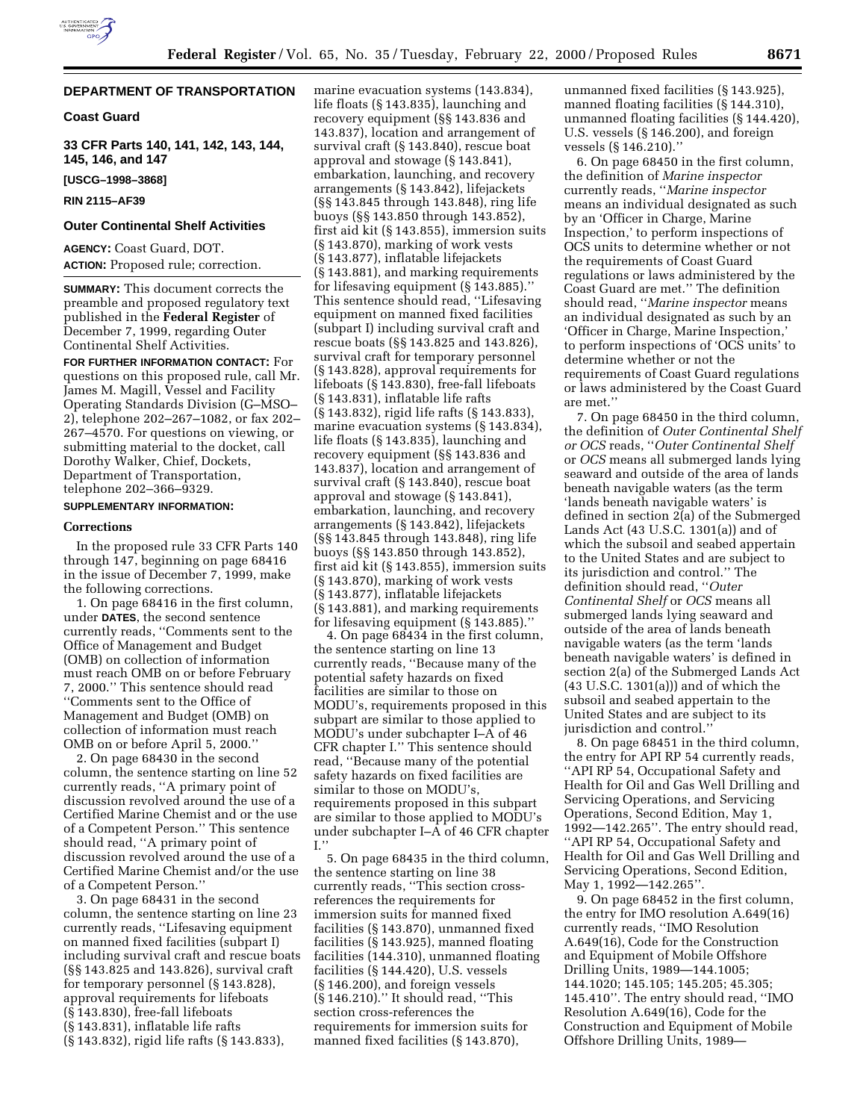# **DEPARTMENT OF TRANSPORTATION**

## **Coast Guard**

**33 CFR Parts 140, 141, 142, 143, 144, 145, 146, and 147**

**[USCG–1998–3868]**

**RIN 2115–AF39**

## **Outer Continental Shelf Activities**

**AGENCY:** Coast Guard, DOT. **ACTION:** Proposed rule; correction.

**SUMMARY:** This document corrects the preamble and proposed regulatory text published in the **Federal Register** of December 7, 1999, regarding Outer Continental Shelf Activities.

**FOR FURTHER INFORMATION CONTACT:** For questions on this proposed rule, call Mr. James M. Magill, Vessel and Facility Operating Standards Division (G–MSO– 2), telephone 202–267–1082, or fax 202– 267–4570. For questions on viewing, or submitting material to the docket, call Dorothy Walker, Chief, Dockets, Department of Transportation, telephone 202–366–9329.

# **SUPPLEMENTARY INFORMATION:**

# **Corrections**

In the proposed rule 33 CFR Parts 140 through 147, beginning on page 68416 in the issue of December 7, 1999, make the following corrections.

1. On page 68416 in the first column, under **DATES**, the second sentence currently reads, ''Comments sent to the Office of Management and Budget (OMB) on collection of information must reach OMB on or before February 7, 2000.'' This sentence should read ''Comments sent to the Office of Management and Budget (OMB) on collection of information must reach OMB on or before April 5, 2000.''

2. On page 68430 in the second column, the sentence starting on line 52 currently reads, ''A primary point of discussion revolved around the use of a Certified Marine Chemist and or the use of a Competent Person.'' This sentence should read, ''A primary point of discussion revolved around the use of a Certified Marine Chemist and/or the use of a Competent Person.''

3. On page 68431 in the second column, the sentence starting on line 23 currently reads, ''Lifesaving equipment on manned fixed facilities (subpart I) including survival craft and rescue boats (§§ 143.825 and 143.826), survival craft for temporary personnel (§ 143.828), approval requirements for lifeboats (§ 143.830), free-fall lifeboats (§ 143.831), inflatable life rafts (§ 143.832), rigid life rafts (§ 143.833),

marine evacuation systems (143.834), life floats (§ 143.835), launching and recovery equipment (§§ 143.836 and 143.837), location and arrangement of survival craft (§ 143.840), rescue boat approval and stowage (§ 143.841), embarkation, launching, and recovery arrangements (§ 143.842), lifejackets (§§ 143.845 through 143.848), ring life buoys (§§ 143.850 through 143.852), first aid kit (§ 143.855), immersion suits (§ 143.870), marking of work vests (§ 143.877), inflatable lifejackets (§ 143.881), and marking requirements for lifesaving equipment (§ 143.885).'' This sentence should read, ''Lifesaving equipment on manned fixed facilities (subpart I) including survival craft and rescue boats (§§ 143.825 and 143.826), survival craft for temporary personnel (§ 143.828), approval requirements for lifeboats (§ 143.830), free-fall lifeboats (§ 143.831), inflatable life rafts (§ 143.832), rigid life rafts (§ 143.833), marine evacuation systems (§ 143.834), life floats (§ 143.835), launching and recovery equipment (§§ 143.836 and 143.837), location and arrangement of survival craft (§ 143.840), rescue boat approval and stowage (§ 143.841), embarkation, launching, and recovery arrangements (§ 143.842), lifejackets (§§ 143.845 through 143.848), ring life buoys (§§ 143.850 through 143.852), first aid kit (§ 143.855), immersion suits (§ 143.870), marking of work vests (§ 143.877), inflatable lifejackets (§ 143.881), and marking requirements for lifesaving equipment (§ 143.885).''

4. On page 68434 in the first column, the sentence starting on line 13 currently reads, ''Because many of the potential safety hazards on fixed facilities are similar to those on MODU's, requirements proposed in this subpart are similar to those applied to MODU's under subchapter I–A of 46 CFR chapter I.'' This sentence should read, ''Because many of the potential safety hazards on fixed facilities are similar to those on MODU's, requirements proposed in this subpart are similar to those applied to MODU's under subchapter I–A of 46 CFR chapter I.''

5. On page 68435 in the third column, the sentence starting on line 38 currently reads, ''This section crossreferences the requirements for immersion suits for manned fixed facilities (§ 143.870), unmanned fixed facilities (§ 143.925), manned floating facilities (144.310), unmanned floating facilities (§ 144.420), U.S. vessels (§ 146.200), and foreign vessels (§ 146.210).'' It should read, ''This section cross-references the requirements for immersion suits for manned fixed facilities (§ 143.870),

unmanned fixed facilities (§ 143.925), manned floating facilities (§ 144.310), unmanned floating facilities (§ 144.420), U.S. vessels (§ 146.200), and foreign vessels (§ 146.210).''

6. On page 68450 in the first column, the definition of *Marine inspector* currently reads, ''*Marine inspector* means an individual designated as such by an 'Officer in Charge, Marine Inspection,' to perform inspections of OCS units to determine whether or not the requirements of Coast Guard regulations or laws administered by the Coast Guard are met.'' The definition should read, ''*Marine inspector* means an individual designated as such by an 'Officer in Charge, Marine Inspection,' to perform inspections of 'OCS units' to determine whether or not the requirements of Coast Guard regulations or laws administered by the Coast Guard are met.''

7. On page 68450 in the third column, the definition of *Outer Continental Shelf or OCS* reads, ''*Outer Continental Shelf* or *OCS* means all submerged lands lying seaward and outside of the area of lands beneath navigable waters (as the term 'lands beneath navigable waters' is defined in section 2(a) of the Submerged Lands Act (43 U.S.C. 1301(a)) and of which the subsoil and seabed appertain to the United States and are subject to its jurisdiction and control.'' The definition should read, ''*Outer Continental Shelf* or *OCS* means all submerged lands lying seaward and outside of the area of lands beneath navigable waters (as the term 'lands beneath navigable waters' is defined in section 2(a) of the Submerged Lands Act (43 U.S.C. 1301(a))) and of which the subsoil and seabed appertain to the United States and are subject to its jurisdiction and control.''

8. On page 68451 in the third column, the entry for API RP 54 currently reads, ''API RP 54, Occupational Safety and Health for Oil and Gas Well Drilling and Servicing Operations, and Servicing Operations, Second Edition, May 1, 1992—142.265''. The entry should read, ''API RP 54, Occupational Safety and Health for Oil and Gas Well Drilling and Servicing Operations, Second Edition, May 1, 1992—142.265''.

9. On page 68452 in the first column, the entry for IMO resolution A.649(16) currently reads, ''IMO Resolution A.649(16), Code for the Construction and Equipment of Mobile Offshore Drilling Units, 1989—144.1005; 144.1020; 145.105; 145.205; 45.305; 145.410''. The entry should read, ''IMO Resolution A.649(16), Code for the Construction and Equipment of Mobile Offshore Drilling Units, 1989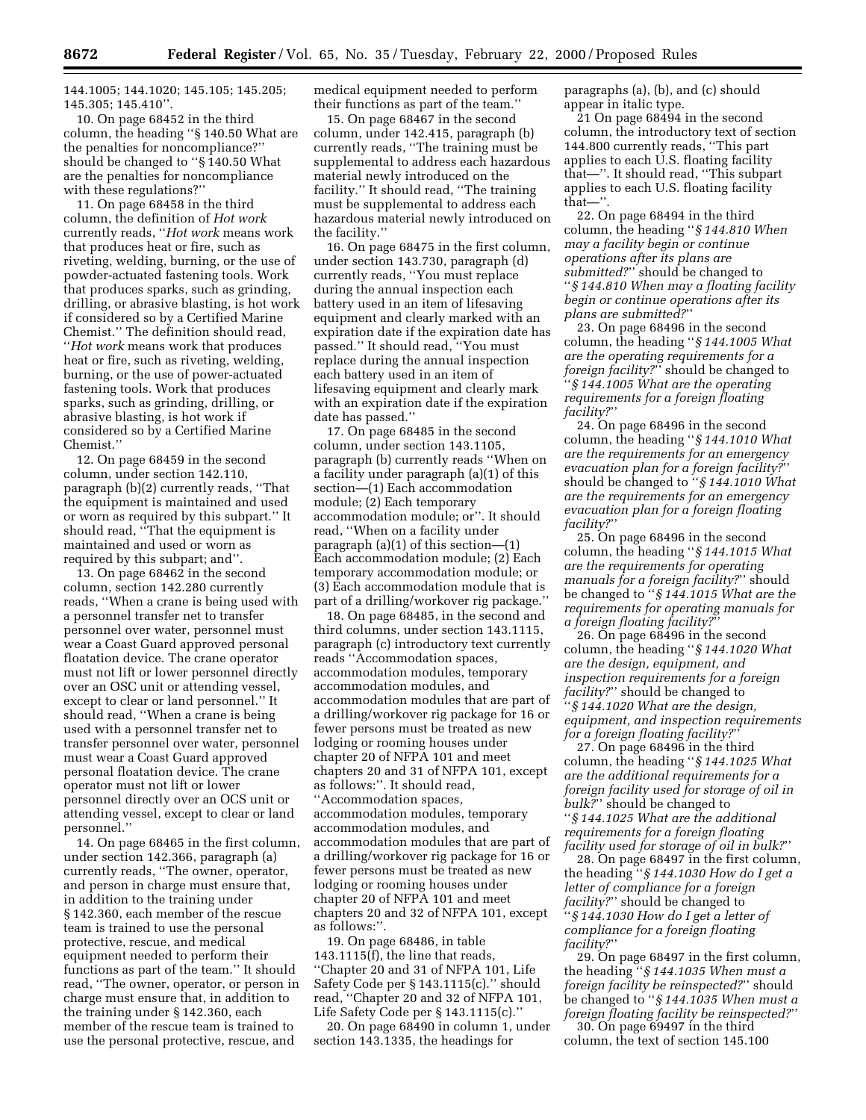144.1005; 144.1020; 145.105; 145.205; 145.305; 145.410''.

10. On page 68452 in the third column, the heading ''§ 140.50 What are the penalties for noncompliance?'' should be changed to ''§ 140.50 What are the penalties for noncompliance with these regulations?''

11. On page 68458 in the third column, the definition of *Hot work* currently reads, ''*Hot work* means work that produces heat or fire, such as riveting, welding, burning, or the use of powder-actuated fastening tools. Work that produces sparks, such as grinding, drilling, or abrasive blasting, is hot work if considered so by a Certified Marine Chemist.'' The definition should read, ''*Hot work* means work that produces heat or fire, such as riveting, welding, burning, or the use of power-actuated fastening tools. Work that produces sparks, such as grinding, drilling, or abrasive blasting, is hot work if considered so by a Certified Marine Chemist.''

12. On page 68459 in the second column, under section 142.110, paragraph (b)(2) currently reads, ''That the equipment is maintained and used or worn as required by this subpart.'' It should read, ''That the equipment is maintained and used or worn as required by this subpart; and''.

13. On page 68462 in the second column, section 142.280 currently reads, ''When a crane is being used with a personnel transfer net to transfer personnel over water, personnel must wear a Coast Guard approved personal floatation device. The crane operator must not lift or lower personnel directly over an OSC unit or attending vessel, except to clear or land personnel.'' It should read, ''When a crane is being used with a personnel transfer net to transfer personnel over water, personnel must wear a Coast Guard approved personal floatation device. The crane operator must not lift or lower personnel directly over an OCS unit or attending vessel, except to clear or land personnel.''

14. On page 68465 in the first column, under section 142.366, paragraph (a) currently reads, ''The owner, operator, and person in charge must ensure that, in addition to the training under § 142.360, each member of the rescue team is trained to use the personal protective, rescue, and medical equipment needed to perform their functions as part of the team.'' It should read, ''The owner, operator, or person in charge must ensure that, in addition to the training under § 142.360, each member of the rescue team is trained to use the personal protective, rescue, and

medical equipment needed to perform their functions as part of the team.''

15. On page 68467 in the second column, under 142.415, paragraph (b) currently reads, ''The training must be supplemental to address each hazardous material newly introduced on the facility.'' It should read, ''The training must be supplemental to address each hazardous material newly introduced on the facility.''

16. On page 68475 in the first column, under section 143.730, paragraph (d) currently reads, ''You must replace during the annual inspection each battery used in an item of lifesaving equipment and clearly marked with an expiration date if the expiration date has passed.'' It should read, ''You must replace during the annual inspection each battery used in an item of lifesaving equipment and clearly mark with an expiration date if the expiration date has passed.''

17. On page 68485 in the second column, under section 143.1105, paragraph (b) currently reads ''When on a facility under paragraph (a)(1) of this section—(1) Each accommodation module; (2) Each temporary accommodation module; or''. It should read, ''When on a facility under paragraph (a)(1) of this section—(1) Each accommodation module; (2) Each temporary accommodation module; or (3) Each accommodation module that is part of a drilling/workover rig package.''

18. On page 68485, in the second and third columns, under section 143.1115, paragraph (c) introductory text currently reads ''Accommodation spaces, accommodation modules, temporary accommodation modules, and accommodation modules that are part of a drilling/workover rig package for 16 or fewer persons must be treated as new lodging or rooming houses under chapter 20 of NFPA 101 and meet chapters 20 and 31 of NFPA 101, except as follows:''. It should read, ''Accommodation spaces, accommodation modules, temporary accommodation modules, and accommodation modules that are part of a drilling/workover rig package for 16 or fewer persons must be treated as new lodging or rooming houses under chapter 20 of NFPA 101 and meet chapters 20 and 32 of NFPA 101, except as follows:''.

19. On page 68486, in table 143.1115(f), the line that reads, ''Chapter 20 and 31 of NFPA 101, Life Safety Code per § 143.1115(c).'' should read, ''Chapter 20 and 32 of NFPA 101, Life Safety Code per § 143.1115(c).''

20. On page 68490 in column 1, under section 143.1335, the headings for

paragraphs (a), (b), and (c) should appear in italic type.

21 On page 68494 in the second column, the introductory text of section 144.800 currently reads, ''This part applies to each U.S. floating facility that—''. It should read, ''This subpart applies to each U.S. floating facility that—''.

22. On page 68494 in the third column, the heading ''*§ 144.810 When may a facility begin or continue operations after its plans are submitted?*'' should be changed to ''*§ 144.810 When may a floating facility begin or continue operations after its plans are submitted?*''

23. On page 68496 in the second column, the heading ''*§ 144.1005 What are the operating requirements for a foreign facility?*'' should be changed to ''*§ 144.1005 What are the operating requirements for a foreign floating facility?*''

24. On page 68496 in the second column, the heading ''*§ 144.1010 What are the requirements for an emergency evacuation plan for a foreign facility?*'' should be changed to ''*§ 144.1010 What are the requirements for an emergency evacuation plan for a foreign floating facility?*''

25. On page 68496 in the second column, the heading ''*§ 144.1015 What are the requirements for operating manuals for a foreign facility?*'' should be changed to ''*§ 144.1015 What are the requirements for operating manuals for a foreign floating facility?*''

26. On page 68496 in the second column, the heading ''*§ 144.1020 What are the design, equipment, and inspection requirements for a foreign facility?*'' should be changed to ''*§ 144.1020 What are the design, equipment, and inspection requirements for a foreign floating facility?*''

27. On page 68496 in the third column, the heading ''*§ 144.1025 What are the additional requirements for a foreign facility used for storage of oil in bulk?*'' should be changed to ''*§ 144.1025 What are the additional requirements for a foreign floating facility used for storage of oil in bulk?*''

28. On page 68497 in the first column, the heading ''*§ 144.1030 How do I get a letter of compliance for a foreign facility?*'' should be changed to ''*§ 144.1030 How do I get a letter of compliance for a foreign floating facility?*''

29. On page 68497 in the first column, the heading ''*§ 144.1035 When must a foreign facility be reinspected?*'' should be changed to ''*§ 144.1035 When must a foreign floating facility be reinspected?*''

30. On page 69497 in the third column, the text of section 145.100